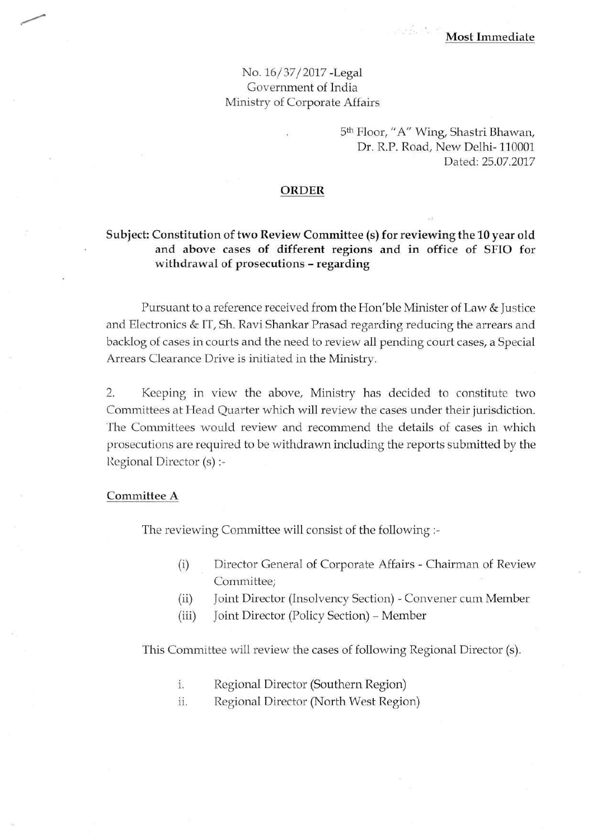## No. 16/37/2017 -Legal Government of India Ministry of Corporate Affairs

# 5 th Floor, *"A"* Wing, Shastri Bhawan, Dr. R.P. Road, New Delhi-110001 Dated: 25.07.2017

#### **ORDER**

### **Subject: Constitution of two Review Committee (s) for reviewing the 10 year old and above cases of different regions and in office of SFIO for withdrawal of prosecutions** - **regarding**

Pursuant to a reference received from the Hon'ble Minister of Law & Justice and Electronics & IT, Sh. Ravi Shankar Prasad regarding reducing the arrears and backlog of cases in courts and the need to review all pending court cases, a Special Arrears Clearance Drive is initiated in the Ministry.

2. Keeping in view the above, Ministry has decided to constitute two Committees at Head Quarter which will review the cases under their jurisdiction. The Committees would review and recommend the details of cases in which prosecutions are required to be withdrawn including the reports submitted by the Regional Director (s) :-

#### **Committee A**

The reviewing Committee will consist of the following :-

- (i) Director General of Corporate Affairs Chairman of Review Committee;
- (ii) Joint Director (Insolvency Section) Convener cum Member
- (iii) Joint Director (Policy Section) Member

This Committee will review the cases of following Regional Director (s).

- i. Regional Director (Southern Region)
- ii. Regional Director (North West Region)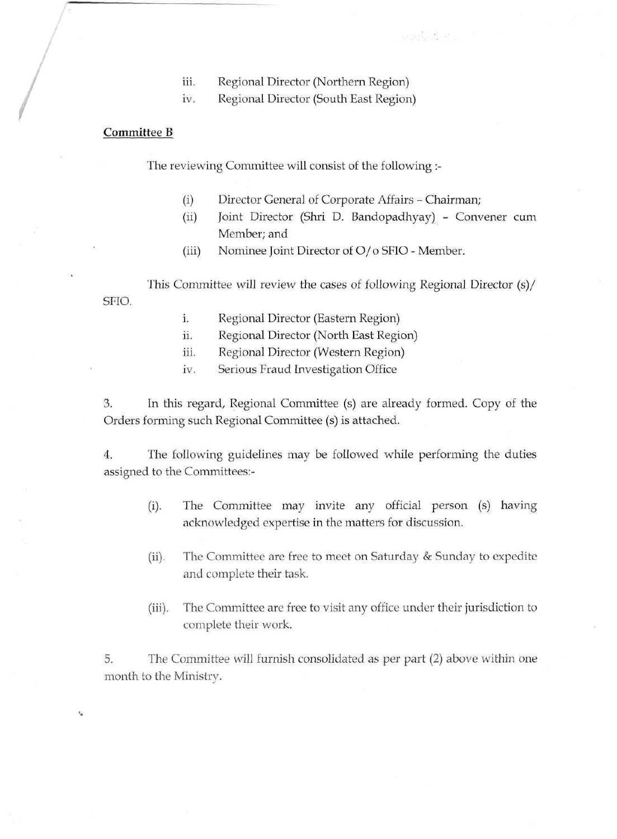- iii. Regional Director (Northern Region)
- iv. Regional Director (South East Region)

### **Committee B**

**•.** 

The reviewing Committee will consist of the following :-

- (i) Director General of Corporate Affairs Chairman;
- (ii) Joint Director (Shri D. Bandopadhyay) Convener cum Member; and

 $\label{eq:2.1} \frac{\partial}{\partial t} \left( \frac{\partial}{\partial t} \right) \frac{d}{dt} \left( \frac{\partial}{\partial t} \right) \frac{d}{dt} = \frac{\partial}{\partial t} \left( \frac{\partial}{\partial t} \right) \frac{d}{dt}$ 

(iii) Nominee Joint Director of O/o SFIO - Member.

This Committee will review the cases of following Regional Director (s)/ SFIO.

- i. Regional Director (Eastern Region)
- ii. Regional Director (North East Region)
- iii. Regional Director (Western Region)
- iv. Serious Fraud Investigation Office

3. In this regard, Regional Committee (s) are already formed. Copy of the Orders forming such Regional Committee (s) is attached.

4. The following guidelines may be followed while performing the duties assigned to the Committees:-

- (i). The Committee may invite any official person (s) having acknowledged expertise in the matters for discussion.
- (ii). The Committee are free to meet on Saturday & Sunday to expedite and complete their task.
- (iii). The Committee are free to visit any office under their jurisdiction to complete their work.

5. The Committee will furnish consolidated as per part (2) above within one month to the Ministry.